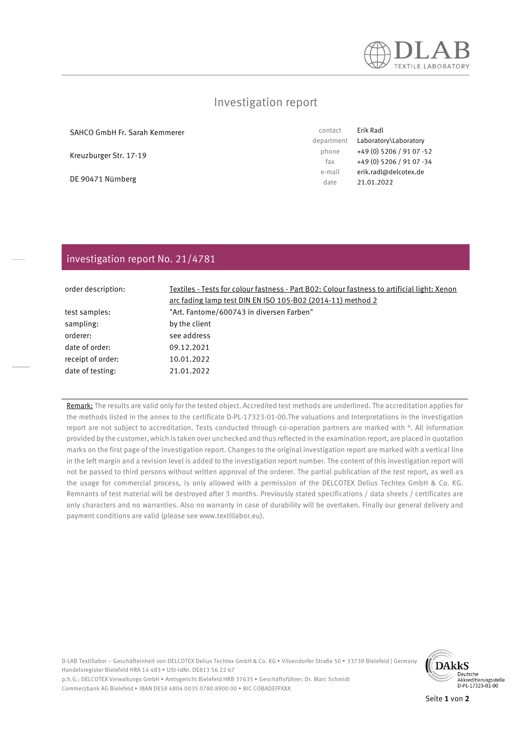

## Investigation report

SAHCO GmbH Fr. Sarah Kemmerer

Kreuzburger Str. 17-19

DE 90471 Nürnberg

contact Erik Radl department Laboratory\Laboratory phone +49 (0) 5206 / 91 07 -52 fax +49 (0) 5206 / 91 07 -34 e-mail erik.radl@delcotex.de date 21.01.2022

### investigation report No. 21/4781

| order description: | Textiles - Tests for colour fastness - Part B02: Colour fastness to artificial light: Xenon |  |
|--------------------|---------------------------------------------------------------------------------------------|--|
|                    | arc fading lamp test DIN EN ISO 105-B02 (2014-11) method 2                                  |  |
| test samples:      | "Art. Fantome/600743 in diversen Farben"                                                    |  |
| sampling:          | by the client                                                                               |  |
| orderer:           | see address                                                                                 |  |
| date of order:     | 09.12.2021                                                                                  |  |
| receipt of order:  | 10.01.2022                                                                                  |  |
| date of testing:   | 21.01.2022                                                                                  |  |

Remark: The results are valid only for the tested object. Accredited test methods are underlined. The accreditation applies for the methods listed in the annex to the certificate D-PL-17323-01-00.The valuations and Interpretations in the investigation report are not subject to accreditation. Tests conducted through co-operation partners are marked with °. All information provided by the customer, which is taken over unchecked and thus reflected in the examination report, are placed in quotation marks on the first page of the investigation report. Changes to the original investigation report are marked with a vertical line in the left margin and a revision level is added to the investigation report number. The content of this investigation report will not be passed to third persons without written approval of the orderer. The partial publication of the test report, as well as the usage for commercial process, is only allowed with a permission of the DELCOTEX Delius Techtex GmbH & Co. KG. Remnants of test material will be destroyed after 3 months. Previously stated specifications / data sheets / certificates are only characters and no warranties. Also no warranty in case of durability will be overtaken. Finally our general delivery and payment conditions are valid (please see www.textillabor.eu).

D-LAB Textillabor – Geschäfteinheit von DELCOTEX Delius Techtex GmbH & Co. KG ▸ Vilsendorfer Straße 50 ▸ 33739 Bielefeld | Germany Handelsregister Bielefeld HRA 14 483 ▸ USt-IdNr. DE813 56 22 67



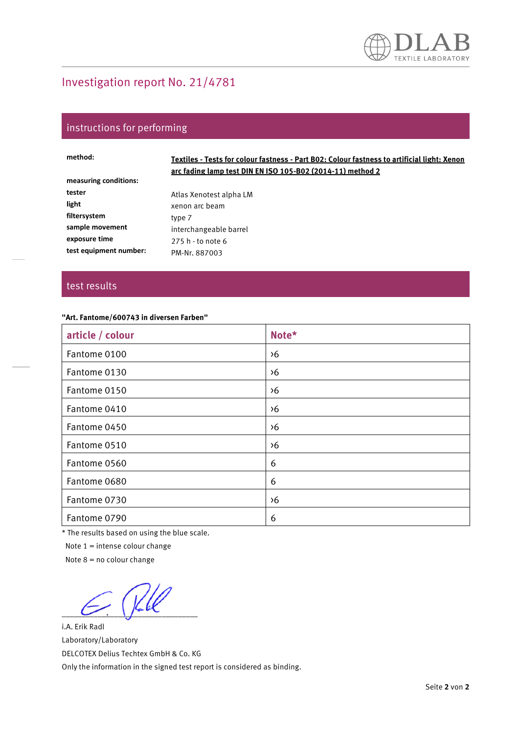# Investigation report No. 21/4781

## instructions for performing

| method:                | Textiles - Tests for colour fastness - Part B02: Colour fastness to artificial light: Xenon<br>arc fading lamp test DIN EN ISO 105-B02 (2014-11) method 2 |
|------------------------|-----------------------------------------------------------------------------------------------------------------------------------------------------------|
| measuring conditions:  |                                                                                                                                                           |
| tester                 | Atlas Xenotest alpha LM                                                                                                                                   |
| light                  | xenon arc beam                                                                                                                                            |
| filtersystem           | type 7                                                                                                                                                    |
| sample movement        | interchangeable barrel                                                                                                                                    |
| exposure time          | 275 h - to note 6                                                                                                                                         |
| test equipment number: | PM-Nr. 887003                                                                                                                                             |

#### test results

#### **"Art. Fantome/600743 in diversen Farben"**

| article / colour | Note*         |
|------------------|---------------|
| Fantome 0100     | $\lambda$ 6   |
| Fantome 0130     | $\lambda$ 6   |
| Fantome 0150     | $\lambda$ 6   |
| Fantome 0410     | $\lambda$ 6   |
| Fantome 0450     | $\lambda$ 6   |
| Fantome 0510     | $\frac{6}{5}$ |
| Fantome 0560     | 6             |
| Fantome 0680     | 6             |
| Fantome 0730     | $\frac{6}{5}$ |
| Fantome 0790     | 6             |

\* The results based on using the blue scale.

Note 1 = intense colour change

Note  $8 = no$  colour change

 $\sim$   $\sim$   $\sim$   $\sim$   $\sim$ 

i.A. Erik Radl Laboratory/Laboratory DELCOTEX Delius Techtex GmbH & Co. KG Only the information in the signed test report is considered as binding.